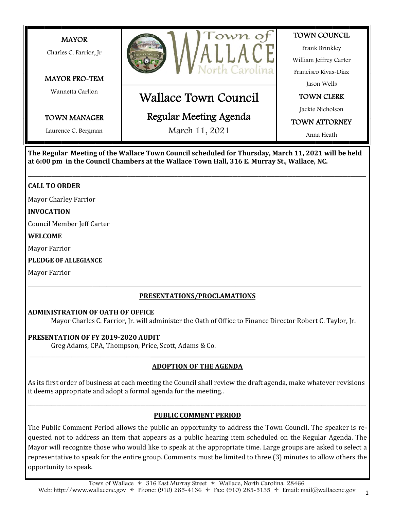

**The Regular Meeting of the Wallace Town Council scheduled for Thursday, March 11, 2021 will be held at 6:00 pm in the Council Chambers at the Wallace Town Hall, 316 E. Murray St., Wallace, NC.**

**\_\_\_\_\_\_\_\_\_\_\_\_\_\_\_\_\_\_\_\_\_\_\_\_\_\_\_\_\_\_\_\_\_\_\_\_\_\_\_\_\_\_\_\_\_\_\_\_\_\_\_\_\_\_\_\_\_\_\_\_\_\_\_\_\_\_\_\_\_\_\_\_\_\_\_\_\_\_\_\_\_\_\_\_\_\_\_\_\_\_\_\_\_\_\_\_\_\_\_\_\_\_\_\_\_\_\_\_\_\_\_\_\_\_\_\_\_\_\_\_\_\_\_\_\_\_\_\_\_**

## **CALL TO ORDER**

Mayor Charley Farrior

#### **INVOCATION**

Council Member Jeff Carter

#### **WELCOME**

Mayor Farrior

**PLEDGE OF ALLEGIANCE**

Mayor Farrior

## **PRESENTATIONS/PROCLAMATIONS**

\_\_\_\_\_\_\_\_\_\_\_\_\_\_\_\_\_\_\_\_\_\_\_\_\_\_\_\_\_\_\_\_\_\_\_\_\_\_\_\_\_\_\_\_\_\_\_\_\_\_\_\_\_\_\_\_\_\_\_\_\_\_\_\_\_\_\_\_\_\_\_\_\_\_\_\_\_\_\_\_\_\_\_\_\_\_\_\_\_\_\_\_\_\_\_\_\_\_\_\_\_\_\_\_\_\_\_\_\_\_\_\_\_\_\_\_\_\_\_\_\_\_\_\_\_\_\_\_\_\_\_\_\_\_\_\_\_\_\_\_

#### **ADMINISTRATION OF OATH OF OFFICE**

Mayor Charles C. Farrior, Jr. will administer the Oath of Ofice to Finance Director Robert C. Taylor, Jr.

#### **PRESENTATION OF FY 2019-2020 AUDIT**

Greg Adams, CPA, Thompson, Price, Scott, Adams & Co.

# \_\_\_\_\_\_\_\_\_\_\_\_\_\_\_\_\_\_\_\_\_\_\_\_\_\_\_\_\_\_\_\_\_\_\_\_\_\_\_\_\_\_\_\_\_\_**\_\_\_\_\_\_\_\_\_\_\_\_\_\_\_\_\_\_\_\_\_\_\_\_\_\_\_\_\_\_\_\_\_\_\_\_\_\_\_\_\_\_\_\_\_\_\_\_\_\_\_\_\_\_\_\_\_\_\_\_\_\_\_\_\_\_\_\_\_\_\_\_\_\_\_\_\_\_\_\_\_\_ ADOPTION OF THE AGENDA**

As its irst order of business at each meeting the Council shall review the draft agenda, make whatever revisions it deems appropriate and adopt a formal agenda for the meeting..

## \_\_\_\_\_\_\_\_\_\_\_\_\_\_\_\_\_\_\_\_\_\_\_\_\_\_\_\_\_\_\_\_\_\_\_\_\_\_\_\_\_\_\_\_\_\_\_\_\_\_\_\_\_\_\_\_\_\_\_\_\_\_\_\_\_\_\_\_\_\_\_\_\_\_\_\_\_\_\_\_\_\_\_\_\_\_\_\_\_\_\_\_\_\_\_\_\_\_\_\_\_\_\_\_\_\_\_\_\_\_\_\_\_\_\_\_\_\_\_\_\_\_\_\_\_\_\_\_\_ **PUBLIC COMMENT PERIOD**

The Public Comment Period allows the public an opportunity to address the Town Council. The speaker is requested not to address an item that appears as a public hearing item scheduled on the Regular Agenda. The Mayor will recognize those who would like to speak at the appropriate time. Large groups are asked to select a representative to speak for the entire group. Comments must be limited to three (3) minutes to allow others the opportunity to speak.